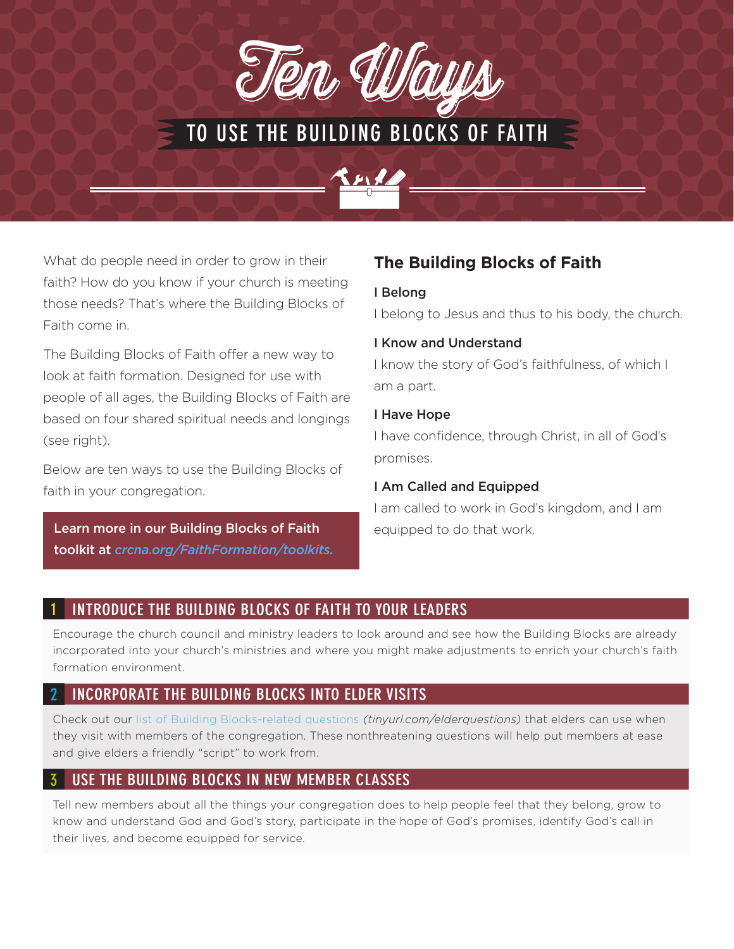

# TO USE THE BUILDING BLOCKS OF FAITH



The Building Blocks of Faith offer a new way to look at faith formation. Designed for use with people of all ages, the Building Blocks of Faith are based on four shared spiritual needs and longings (see right).

Below are ten ways to use the Building Blocks of faith in your congregation.

Learn more in our Building Blocks of Faith equipped to do that work. toolkit at *crcna.org/FaithFormation/toolkits.*

## **The Building Blocks of Faith**

#### I Belong

I belong to Jesus and thus to his body, the church.

#### I Know and Understand

I know the story of God's faithfulness, of which I am a part.

#### I Have Hope

I have confidence, through Christ, in all of God's promises.

#### I Am Called and Equipped

I am called to work in God's kingdom, and I am

## INTRODUCE THE BUILDING BLOCKS OF FAITH TO YOUR LEADERS

Encourage the church council and ministry leaders to look around and see how the Building Blocks are already incorporated into your church's ministries and where you might make adjustments to enrich your church's faith formation environment.

## INCORPORATE THE BUILDING BLOCKS INTO ELDER VISITS

Check out our [list of Building Blocks-related questions](http://) *(tinyurl.com/elderquestions)* that elders can use when they visit with members of the congregation. These nonthreatening questions will help put members at ease and give elders a friendly "script" to work from.

## USE THE BUILDING BLOCKS IN NEW MEMBER CLASSES

Tell new members about all the things your congregation does to help people feel that they belong, grow to know and understand God and God's story, participate in the hope of God's promises, identify God's call in their lives, and become equipped for service.